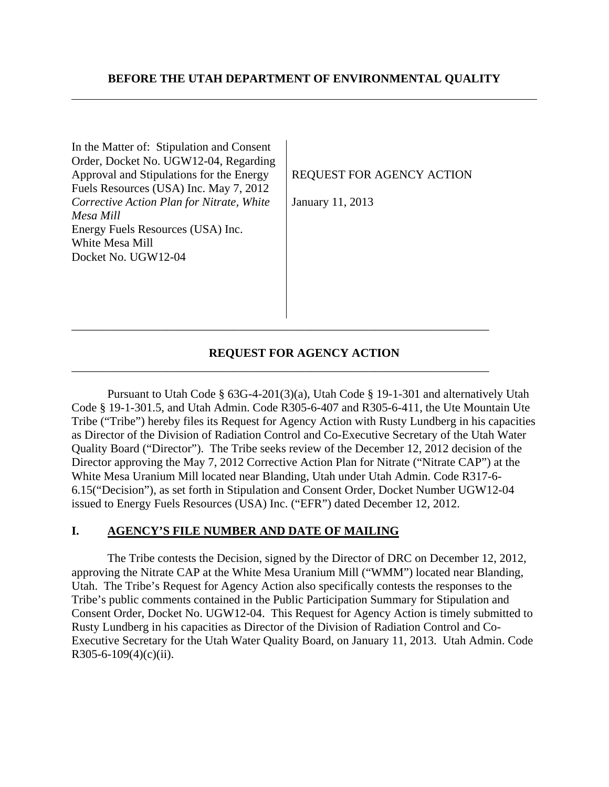In the Matter of: Stipulation and Consent Order, Docket No. UGW12-04, Regarding Approval and Stipulations for the Energy Fuels Resources (USA) Inc. May 7, 2012 *Corrective Action Plan for Nitrate, White Mesa Mill*  Energy Fuels Resources (USA) Inc. White Mesa Mill Docket No. UGW12-04

## REQUEST FOR AGENCY ACTION

January 11, 2013

## **REQUEST FOR AGENCY ACTION**

\_\_\_\_\_\_\_\_\_\_\_\_\_\_\_\_\_\_\_\_\_\_\_\_\_\_\_\_\_\_\_\_\_\_\_\_\_\_\_\_\_\_\_\_\_\_\_\_\_\_\_\_\_\_\_\_\_\_\_\_\_\_\_\_\_\_\_\_\_\_

\_\_\_\_\_\_\_\_\_\_\_\_\_\_\_\_\_\_\_\_\_\_\_\_\_\_\_\_\_\_\_\_\_\_\_\_\_\_\_\_\_\_\_\_\_\_\_\_\_\_\_\_\_\_\_\_\_\_\_\_\_\_\_\_\_\_\_\_\_\_

Pursuant to Utah Code § 63G-4-201(3)(a), Utah Code § 19-1-301 and alternatively Utah Code § 19-1-301.5, and Utah Admin. Code R305-6-407 and R305-6-411, the Ute Mountain Ute Tribe ("Tribe") hereby files its Request for Agency Action with Rusty Lundberg in his capacities as Director of the Division of Radiation Control and Co-Executive Secretary of the Utah Water Quality Board ("Director"). The Tribe seeks review of the December 12, 2012 decision of the Director approving the May 7, 2012 Corrective Action Plan for Nitrate ("Nitrate CAP") at the White Mesa Uranium Mill located near Blanding, Utah under Utah Admin. Code R317-6- 6.15("Decision"), as set forth in Stipulation and Consent Order, Docket Number UGW12-04 issued to Energy Fuels Resources (USA) Inc. ("EFR") dated December 12, 2012.

## **I. AGENCY'S FILE NUMBER AND DATE OF MAILING**

The Tribe contests the Decision, signed by the Director of DRC on December 12, 2012, approving the Nitrate CAP at the White Mesa Uranium Mill ("WMM") located near Blanding, Utah. The Tribe's Request for Agency Action also specifically contests the responses to the Tribe's public comments contained in the Public Participation Summary for Stipulation and Consent Order, Docket No. UGW12-04. This Request for Agency Action is timely submitted to Rusty Lundberg in his capacities as Director of the Division of Radiation Control and Co-Executive Secretary for the Utah Water Quality Board, on January 11, 2013. Utah Admin. Code R305-6-109(4)(c)(ii).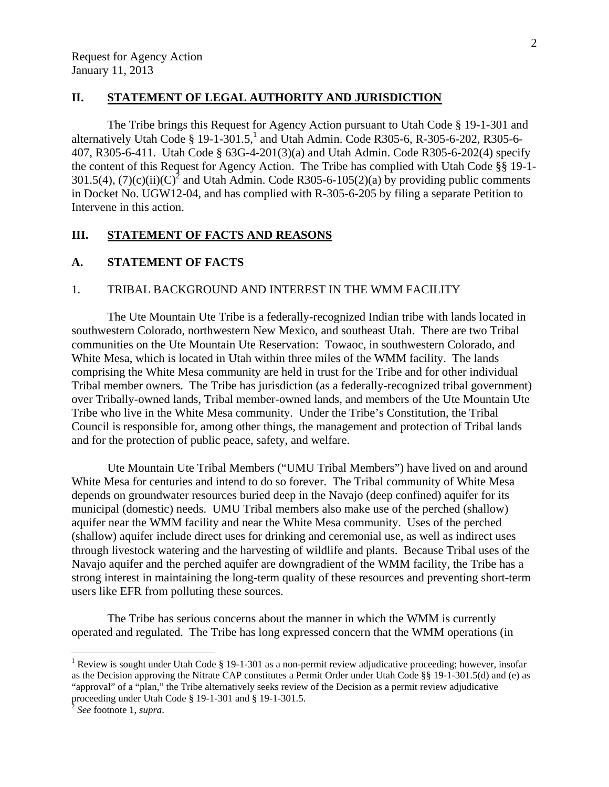### **II. STATEMENT OF LEGAL AUTHORITY AND JURISDICTION**

 The Tribe brings this Request for Agency Action pursuant to Utah Code § 19-1-301 and alternatively Utah Code § 19-1-301.5,<sup>1</sup> and Utah Admin. Code R305-6, R-305-6-202, R305-6-407, R305-6-411. Utah Code § 63G-4-201(3)(a) and Utah Admin. Code R305-6-202(4) specify the content of this Request for Agency Action. The Tribe has complied with Utah Code §§ 19-1- 301.5(4), (7)(c)(ii)(C)<sup>2</sup> and Utah Admin. Code R305-6-105(2)(a) by providing public comments in Docket No. UGW12-04, and has complied with R-305-6-205 by filing a separate Petition to Intervene in this action.

#### **III. STATEMENT OF FACTS AND REASONS**

# **A. STATEMENT OF FACTS**

#### 1. TRIBAL BACKGROUND AND INTEREST IN THE WMM FACILITY

The Ute Mountain Ute Tribe is a federally-recognized Indian tribe with lands located in southwestern Colorado, northwestern New Mexico, and southeast Utah. There are two Tribal communities on the Ute Mountain Ute Reservation: Towaoc, in southwestern Colorado, and White Mesa, which is located in Utah within three miles of the WMM facility. The lands comprising the White Mesa community are held in trust for the Tribe and for other individual Tribal member owners. The Tribe has jurisdiction (as a federally-recognized tribal government) over Tribally-owned lands, Tribal member-owned lands, and members of the Ute Mountain Ute Tribe who live in the White Mesa community. Under the Tribe's Constitution, the Tribal Council is responsible for, among other things, the management and protection of Tribal lands and for the protection of public peace, safety, and welfare.

Ute Mountain Ute Tribal Members ("UMU Tribal Members") have lived on and around White Mesa for centuries and intend to do so forever. The Tribal community of White Mesa depends on groundwater resources buried deep in the Navajo (deep confined) aquifer for its municipal (domestic) needs. UMU Tribal members also make use of the perched (shallow) aquifer near the WMM facility and near the White Mesa community. Uses of the perched (shallow) aquifer include direct uses for drinking and ceremonial use, as well as indirect uses through livestock watering and the harvesting of wildlife and plants. Because Tribal uses of the Navajo aquifer and the perched aquifer are downgradient of the WMM facility, the Tribe has a strong interest in maintaining the long-term quality of these resources and preventing short-term users like EFR from polluting these sources.

 The Tribe has serious concerns about the manner in which the WMM is currently operated and regulated. The Tribe has long expressed concern that the WMM operations (in

1

<sup>&</sup>lt;sup>1</sup> Review is sought under Utah Code § 19-1-301 as a non-permit review adjudicative proceeding; however, insofar as the Decision approving the Nitrate CAP constitutes a Permit Order under Utah Code §§ 19-1-301.5(d) and (e) as "approval" of a "plan," the Tribe alternatively seeks review of the Decision as a permit review adjudicative proceeding under Utah Code § 19-1-301 and § 19-1-301.5.

<sup>2</sup> *See* footnote 1, *supra*.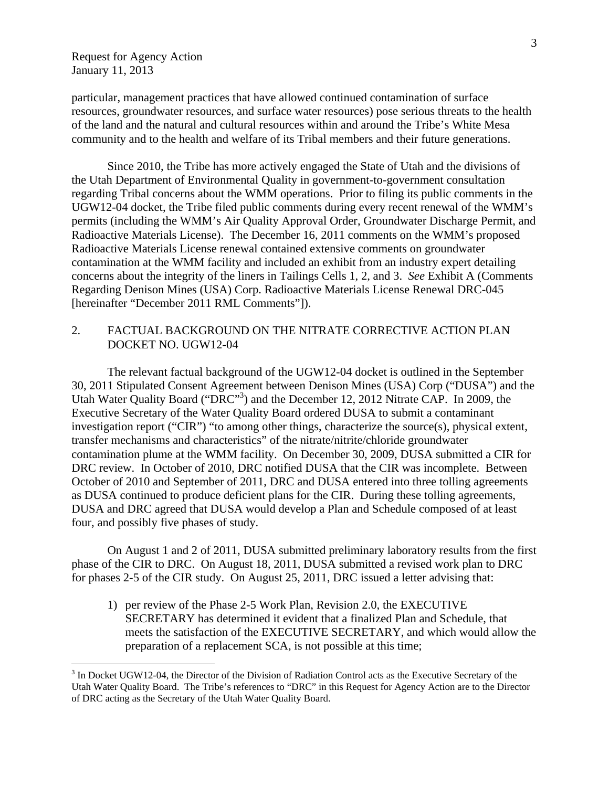$\overline{a}$ 

particular, management practices that have allowed continued contamination of surface resources, groundwater resources, and surface water resources) pose serious threats to the health of the land and the natural and cultural resources within and around the Tribe's White Mesa community and to the health and welfare of its Tribal members and their future generations.

 Since 2010, the Tribe has more actively engaged the State of Utah and the divisions of the Utah Department of Environmental Quality in government-to-government consultation regarding Tribal concerns about the WMM operations. Prior to filing its public comments in the UGW12-04 docket, the Tribe filed public comments during every recent renewal of the WMM's permits (including the WMM's Air Quality Approval Order, Groundwater Discharge Permit, and Radioactive Materials License). The December 16, 2011 comments on the WMM's proposed Radioactive Materials License renewal contained extensive comments on groundwater contamination at the WMM facility and included an exhibit from an industry expert detailing concerns about the integrity of the liners in Tailings Cells 1, 2, and 3. *See* Exhibit A (Comments Regarding Denison Mines (USA) Corp. Radioactive Materials License Renewal DRC-045 [hereinafter "December 2011 RML Comments"]).

# 2. FACTUAL BACKGROUND ON THE NITRATE CORRECTIVE ACTION PLAN DOCKET NO. UGW12-04

 The relevant factual background of the UGW12-04 docket is outlined in the September 30, 2011 Stipulated Consent Agreement between Denison Mines (USA) Corp ("DUSA") and the Utah Water Quality Board ("DRC"<sup>3</sup>) and the December 12, 2012 Nitrate CAP. In 2009, the Executive Secretary of the Water Quality Board ordered DUSA to submit a contaminant investigation report ("CIR") "to among other things, characterize the source(s), physical extent, transfer mechanisms and characteristics" of the nitrate/nitrite/chloride groundwater contamination plume at the WMM facility. On December 30, 2009, DUSA submitted a CIR for DRC review. In October of 2010, DRC notified DUSA that the CIR was incomplete. Between October of 2010 and September of 2011, DRC and DUSA entered into three tolling agreements as DUSA continued to produce deficient plans for the CIR. During these tolling agreements, DUSA and DRC agreed that DUSA would develop a Plan and Schedule composed of at least four, and possibly five phases of study.

 On August 1 and 2 of 2011, DUSA submitted preliminary laboratory results from the first phase of the CIR to DRC. On August 18, 2011, DUSA submitted a revised work plan to DRC for phases 2-5 of the CIR study. On August 25, 2011, DRC issued a letter advising that:

1) per review of the Phase 2-5 Work Plan, Revision 2.0, the EXECUTIVE SECRETARY has determined it evident that a finalized Plan and Schedule, that meets the satisfaction of the EXECUTIVE SECRETARY, and which would allow the preparation of a replacement SCA, is not possible at this time;

 $3$  In Docket UGW12-04, the Director of the Division of Radiation Control acts as the Executive Secretary of the Utah Water Quality Board. The Tribe's references to "DRC" in this Request for Agency Action are to the Director of DRC acting as the Secretary of the Utah Water Quality Board.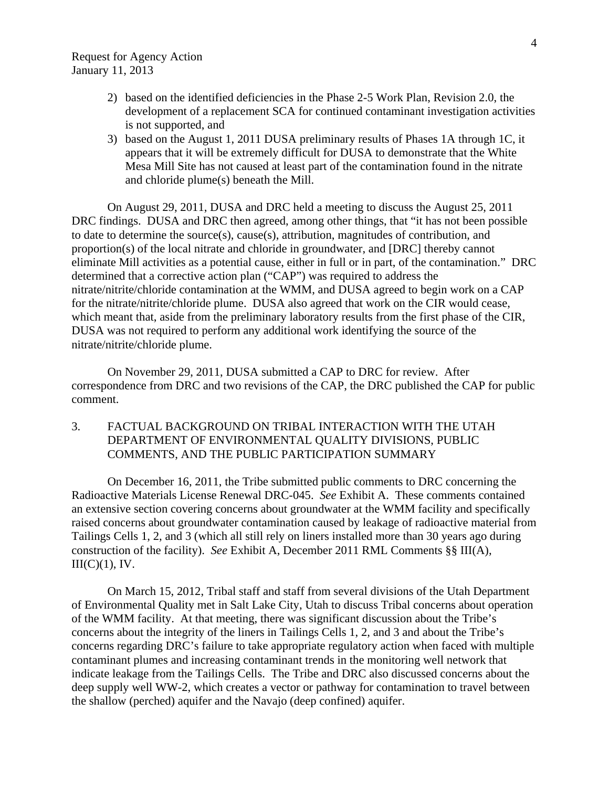- 2) based on the identified deficiencies in the Phase 2-5 Work Plan, Revision 2.0, the development of a replacement SCA for continued contaminant investigation activities is not supported, and
- 3) based on the August 1, 2011 DUSA preliminary results of Phases 1A through 1C, it appears that it will be extremely difficult for DUSA to demonstrate that the White Mesa Mill Site has not caused at least part of the contamination found in the nitrate and chloride plume(s) beneath the Mill.

On August 29, 2011, DUSA and DRC held a meeting to discuss the August 25, 2011 DRC findings. DUSA and DRC then agreed, among other things, that "it has not been possible to date to determine the source(s), cause(s), attribution, magnitudes of contribution, and proportion(s) of the local nitrate and chloride in groundwater, and [DRC] thereby cannot eliminate Mill activities as a potential cause, either in full or in part, of the contamination." DRC determined that a corrective action plan ("CAP") was required to address the nitrate/nitrite/chloride contamination at the WMM, and DUSA agreed to begin work on a CAP for the nitrate/nitrite/chloride plume. DUSA also agreed that work on the CIR would cease, which meant that, aside from the preliminary laboratory results from the first phase of the CIR, DUSA was not required to perform any additional work identifying the source of the nitrate/nitrite/chloride plume.

On November 29, 2011, DUSA submitted a CAP to DRC for review. After correspondence from DRC and two revisions of the CAP, the DRC published the CAP for public comment.

3. FACTUAL BACKGROUND ON TRIBAL INTERACTION WITH THE UTAH DEPARTMENT OF ENVIRONMENTAL QUALITY DIVISIONS, PUBLIC COMMENTS, AND THE PUBLIC PARTICIPATION SUMMARY

 On December 16, 2011, the Tribe submitted public comments to DRC concerning the Radioactive Materials License Renewal DRC-045. *See* Exhibit A. These comments contained an extensive section covering concerns about groundwater at the WMM facility and specifically raised concerns about groundwater contamination caused by leakage of radioactive material from Tailings Cells 1, 2, and 3 (which all still rely on liners installed more than 30 years ago during construction of the facility). *See* Exhibit A, December 2011 RML Comments §§ III(A),  $III(C)(1)$ , IV.

 On March 15, 2012, Tribal staff and staff from several divisions of the Utah Department of Environmental Quality met in Salt Lake City, Utah to discuss Tribal concerns about operation of the WMM facility. At that meeting, there was significant discussion about the Tribe's concerns about the integrity of the liners in Tailings Cells 1, 2, and 3 and about the Tribe's concerns regarding DRC's failure to take appropriate regulatory action when faced with multiple contaminant plumes and increasing contaminant trends in the monitoring well network that indicate leakage from the Tailings Cells. The Tribe and DRC also discussed concerns about the deep supply well WW-2, which creates a vector or pathway for contamination to travel between the shallow (perched) aquifer and the Navajo (deep confined) aquifer.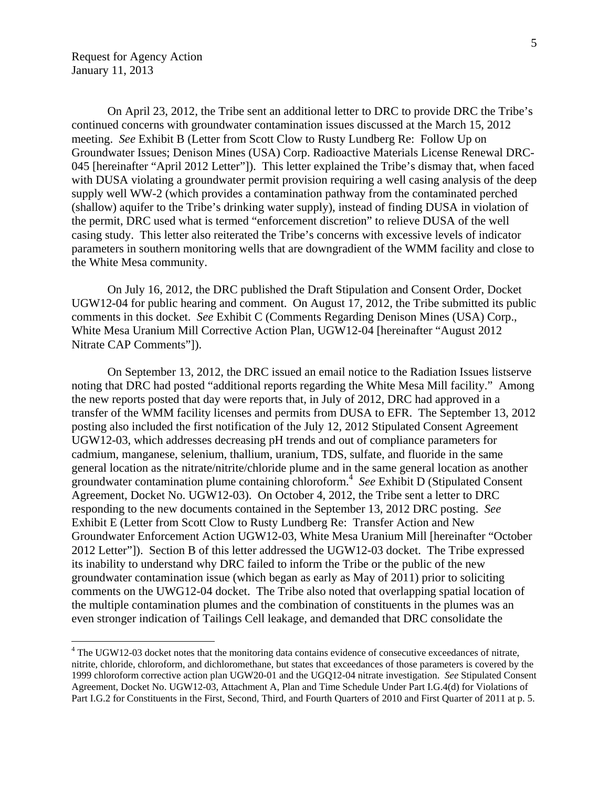1

On April 23, 2012, the Tribe sent an additional letter to DRC to provide DRC the Tribe's continued concerns with groundwater contamination issues discussed at the March 15, 2012 meeting. *See* Exhibit B (Letter from Scott Clow to Rusty Lundberg Re: Follow Up on Groundwater Issues; Denison Mines (USA) Corp. Radioactive Materials License Renewal DRC-045 [hereinafter "April 2012 Letter"]). This letter explained the Tribe's dismay that, when faced with DUSA violating a groundwater permit provision requiring a well casing analysis of the deep supply well WW-2 (which provides a contamination pathway from the contaminated perched (shallow) aquifer to the Tribe's drinking water supply), instead of finding DUSA in violation of the permit, DRC used what is termed "enforcement discretion" to relieve DUSA of the well casing study. This letter also reiterated the Tribe's concerns with excessive levels of indicator parameters in southern monitoring wells that are downgradient of the WMM facility and close to the White Mesa community.

On July 16, 2012, the DRC published the Draft Stipulation and Consent Order, Docket UGW12-04 for public hearing and comment. On August 17, 2012, the Tribe submitted its public comments in this docket. *See* Exhibit C (Comments Regarding Denison Mines (USA) Corp., White Mesa Uranium Mill Corrective Action Plan, UGW12-04 [hereinafter "August 2012 Nitrate CAP Comments"]).

On September 13, 2012, the DRC issued an email notice to the Radiation Issues listserve noting that DRC had posted "additional reports regarding the White Mesa Mill facility." Among the new reports posted that day were reports that, in July of 2012, DRC had approved in a transfer of the WMM facility licenses and permits from DUSA to EFR. The September 13, 2012 posting also included the first notification of the July 12, 2012 Stipulated Consent Agreement UGW12-03, which addresses decreasing pH trends and out of compliance parameters for cadmium, manganese, selenium, thallium, uranium, TDS, sulfate, and fluoride in the same general location as the nitrate/nitrite/chloride plume and in the same general location as another groundwater contamination plume containing chloroform.4 *See* Exhibit D (Stipulated Consent Agreement, Docket No. UGW12-03). On October 4, 2012, the Tribe sent a letter to DRC responding to the new documents contained in the September 13, 2012 DRC posting. *See* Exhibit E (Letter from Scott Clow to Rusty Lundberg Re: Transfer Action and New Groundwater Enforcement Action UGW12-03, White Mesa Uranium Mill [hereinafter "October 2012 Letter"]). Section B of this letter addressed the UGW12-03 docket. The Tribe expressed its inability to understand why DRC failed to inform the Tribe or the public of the new groundwater contamination issue (which began as early as May of 2011) prior to soliciting comments on the UWG12-04 docket. The Tribe also noted that overlapping spatial location of the multiple contamination plumes and the combination of constituents in the plumes was an even stronger indication of Tailings Cell leakage, and demanded that DRC consolidate the

<sup>&</sup>lt;sup>4</sup> The UGW12-03 docket notes that the monitoring data contains evidence of consecutive exceedances of nitrate, nitrite, chloride, chloroform, and dichloromethane, but states that exceedances of those parameters is covered by the 1999 chloroform corrective action plan UGW20-01 and the UGQ12-04 nitrate investigation. *See* Stipulated Consent Agreement, Docket No. UGW12-03, Attachment A, Plan and Time Schedule Under Part I.G.4(d) for Violations of Part I.G.2 for Constituents in the First, Second, Third, and Fourth Quarters of 2010 and First Quarter of 2011 at p. 5.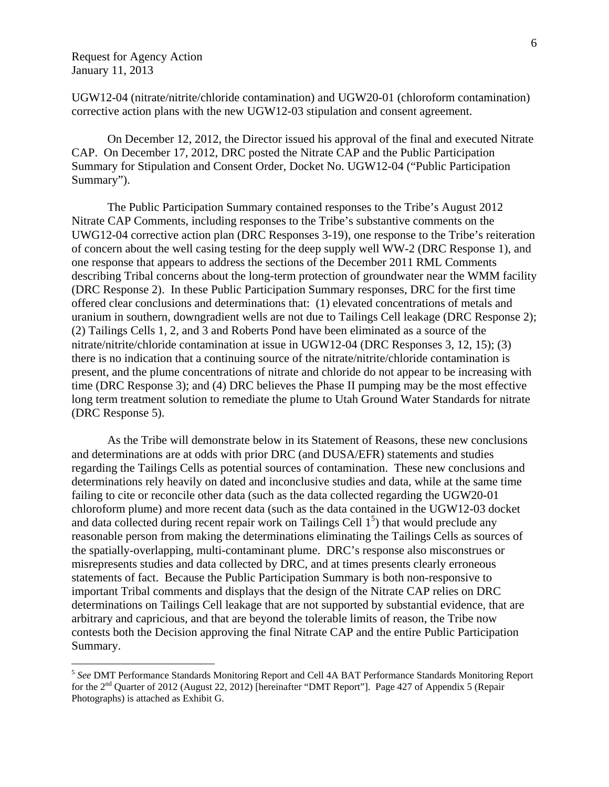$\overline{a}$ 

UGW12-04 (nitrate/nitrite/chloride contamination) and UGW20-01 (chloroform contamination) corrective action plans with the new UGW12-03 stipulation and consent agreement.

 On December 12, 2012, the Director issued his approval of the final and executed Nitrate CAP. On December 17, 2012, DRC posted the Nitrate CAP and the Public Participation Summary for Stipulation and Consent Order, Docket No. UGW12-04 ("Public Participation Summary").

 The Public Participation Summary contained responses to the Tribe's August 2012 Nitrate CAP Comments, including responses to the Tribe's substantive comments on the UWG12-04 corrective action plan (DRC Responses 3-19), one response to the Tribe's reiteration of concern about the well casing testing for the deep supply well WW-2 (DRC Response 1), and one response that appears to address the sections of the December 2011 RML Comments describing Tribal concerns about the long-term protection of groundwater near the WMM facility (DRC Response 2). In these Public Participation Summary responses, DRC for the first time offered clear conclusions and determinations that: (1) elevated concentrations of metals and uranium in southern, downgradient wells are not due to Tailings Cell leakage (DRC Response 2); (2) Tailings Cells 1, 2, and 3 and Roberts Pond have been eliminated as a source of the nitrate/nitrite/chloride contamination at issue in UGW12-04 (DRC Responses 3, 12, 15); (3) there is no indication that a continuing source of the nitrate/nitrite/chloride contamination is present, and the plume concentrations of nitrate and chloride do not appear to be increasing with time (DRC Response 3); and (4) DRC believes the Phase II pumping may be the most effective long term treatment solution to remediate the plume to Utah Ground Water Standards for nitrate (DRC Response 5).

As the Tribe will demonstrate below in its Statement of Reasons, these new conclusions and determinations are at odds with prior DRC (and DUSA/EFR) statements and studies regarding the Tailings Cells as potential sources of contamination. These new conclusions and determinations rely heavily on dated and inconclusive studies and data, while at the same time failing to cite or reconcile other data (such as the data collected regarding the UGW20-01 chloroform plume) and more recent data (such as the data contained in the UGW12-03 docket and data collected during recent repair work on Tailings Cell  $1<sup>5</sup>$ ) that would preclude any reasonable person from making the determinations eliminating the Tailings Cells as sources of the spatially-overlapping, multi-contaminant plume. DRC's response also misconstrues or misrepresents studies and data collected by DRC, and at times presents clearly erroneous statements of fact. Because the Public Participation Summary is both non-responsive to important Tribal comments and displays that the design of the Nitrate CAP relies on DRC determinations on Tailings Cell leakage that are not supported by substantial evidence, that are arbitrary and capricious, and that are beyond the tolerable limits of reason, the Tribe now contests both the Decision approving the final Nitrate CAP and the entire Public Participation Summary.

<sup>5</sup> *See* DMT Performance Standards Monitoring Report and Cell 4A BAT Performance Standards Monitoring Report for the 2<sup>nd</sup> Quarter of 2012 (August 22, 2012) [hereinafter "DMT Report"]. Page 427 of Appendix 5 (Repair Photographs) is attached as Exhibit G.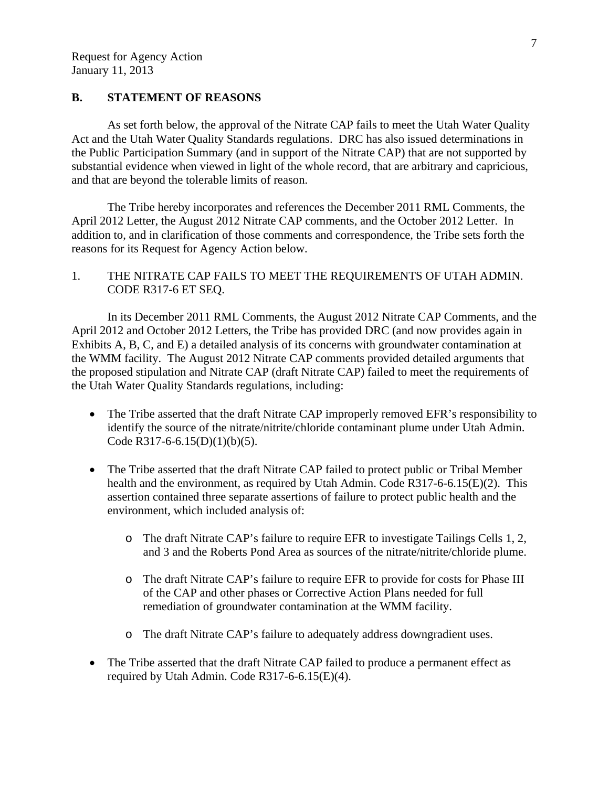# **B. STATEMENT OF REASONS**

 As set forth below, the approval of the Nitrate CAP fails to meet the Utah Water Quality Act and the Utah Water Quality Standards regulations. DRC has also issued determinations in the Public Participation Summary (and in support of the Nitrate CAP) that are not supported by substantial evidence when viewed in light of the whole record, that are arbitrary and capricious, and that are beyond the tolerable limits of reason.

The Tribe hereby incorporates and references the December 2011 RML Comments, the April 2012 Letter, the August 2012 Nitrate CAP comments, and the October 2012 Letter. In addition to, and in clarification of those comments and correspondence, the Tribe sets forth the reasons for its Request for Agency Action below.

# 1. THE NITRATE CAP FAILS TO MEET THE REQUIREMENTS OF UTAH ADMIN. CODE R317-6 ET SEQ.

In its December 2011 RML Comments, the August 2012 Nitrate CAP Comments, and the April 2012 and October 2012 Letters, the Tribe has provided DRC (and now provides again in Exhibits A, B, C, and E) a detailed analysis of its concerns with groundwater contamination at the WMM facility. The August 2012 Nitrate CAP comments provided detailed arguments that the proposed stipulation and Nitrate CAP (draft Nitrate CAP) failed to meet the requirements of the Utah Water Quality Standards regulations, including:

- The Tribe asserted that the draft Nitrate CAP improperly removed EFR's responsibility to identify the source of the nitrate/nitrite/chloride contaminant plume under Utah Admin. Code R317-6-6.15(D)(1)(b)(5).
- The Tribe asserted that the draft Nitrate CAP failed to protect public or Tribal Member health and the environment, as required by Utah Admin. Code R317-6-6.15(E)(2). This assertion contained three separate assertions of failure to protect public health and the environment, which included analysis of:
	- o The draft Nitrate CAP's failure to require EFR to investigate Tailings Cells 1, 2, and 3 and the Roberts Pond Area as sources of the nitrate/nitrite/chloride plume.
	- o The draft Nitrate CAP's failure to require EFR to provide for costs for Phase III of the CAP and other phases or Corrective Action Plans needed for full remediation of groundwater contamination at the WMM facility.
	- o The draft Nitrate CAP's failure to adequately address downgradient uses.
- The Tribe asserted that the draft Nitrate CAP failed to produce a permanent effect as required by Utah Admin. Code R317-6-6.15(E)(4).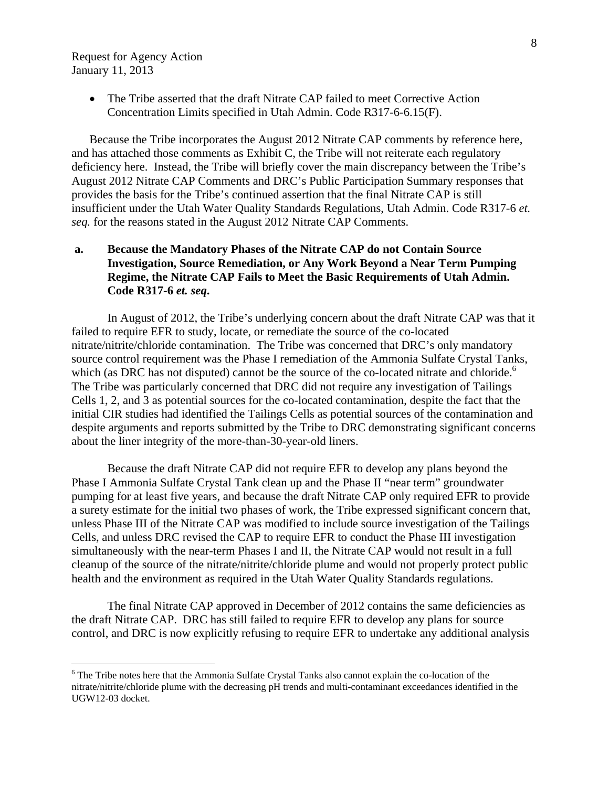<u>.</u>

 The Tribe asserted that the draft Nitrate CAP failed to meet Corrective Action Concentration Limits specified in Utah Admin. Code R317-6-6.15(F).

Because the Tribe incorporates the August 2012 Nitrate CAP comments by reference here, and has attached those comments as Exhibit C, the Tribe will not reiterate each regulatory deficiency here. Instead, the Tribe will briefly cover the main discrepancy between the Tribe's August 2012 Nitrate CAP Comments and DRC's Public Participation Summary responses that provides the basis for the Tribe's continued assertion that the final Nitrate CAP is still insufficient under the Utah Water Quality Standards Regulations, Utah Admin. Code R317-6 *et. seq.* for the reasons stated in the August 2012 Nitrate CAP Comments.

# **a. Because the Mandatory Phases of the Nitrate CAP do not Contain Source Investigation, Source Remediation, or Any Work Beyond a Near Term Pumping Regime, the Nitrate CAP Fails to Meet the Basic Requirements of Utah Admin. Code R317-6** *et. seq***.**

In August of 2012, the Tribe's underlying concern about the draft Nitrate CAP was that it failed to require EFR to study, locate, or remediate the source of the co-located nitrate/nitrite/chloride contamination. The Tribe was concerned that DRC's only mandatory source control requirement was the Phase I remediation of the Ammonia Sulfate Crystal Tanks, which (as DRC has not disputed) cannot be the source of the co-located nitrate and chloride.<sup>6</sup> The Tribe was particularly concerned that DRC did not require any investigation of Tailings Cells 1, 2, and 3 as potential sources for the co-located contamination, despite the fact that the initial CIR studies had identified the Tailings Cells as potential sources of the contamination and despite arguments and reports submitted by the Tribe to DRC demonstrating significant concerns about the liner integrity of the more-than-30-year-old liners.

Because the draft Nitrate CAP did not require EFR to develop any plans beyond the Phase I Ammonia Sulfate Crystal Tank clean up and the Phase II "near term" groundwater pumping for at least five years, and because the draft Nitrate CAP only required EFR to provide a surety estimate for the initial two phases of work, the Tribe expressed significant concern that, unless Phase III of the Nitrate CAP was modified to include source investigation of the Tailings Cells, and unless DRC revised the CAP to require EFR to conduct the Phase III investigation simultaneously with the near-term Phases I and II, the Nitrate CAP would not result in a full cleanup of the source of the nitrate/nitrite/chloride plume and would not properly protect public health and the environment as required in the Utah Water Quality Standards regulations.

 The final Nitrate CAP approved in December of 2012 contains the same deficiencies as the draft Nitrate CAP. DRC has still failed to require EFR to develop any plans for source control, and DRC is now explicitly refusing to require EFR to undertake any additional analysis

<sup>&</sup>lt;sup>6</sup> The Tribe notes here that the Ammonia Sulfate Crystal Tanks also cannot explain the co-location of the nitrate/nitrite/chloride plume with the decreasing pH trends and multi-contaminant exceedances identified in the UGW12-03 docket.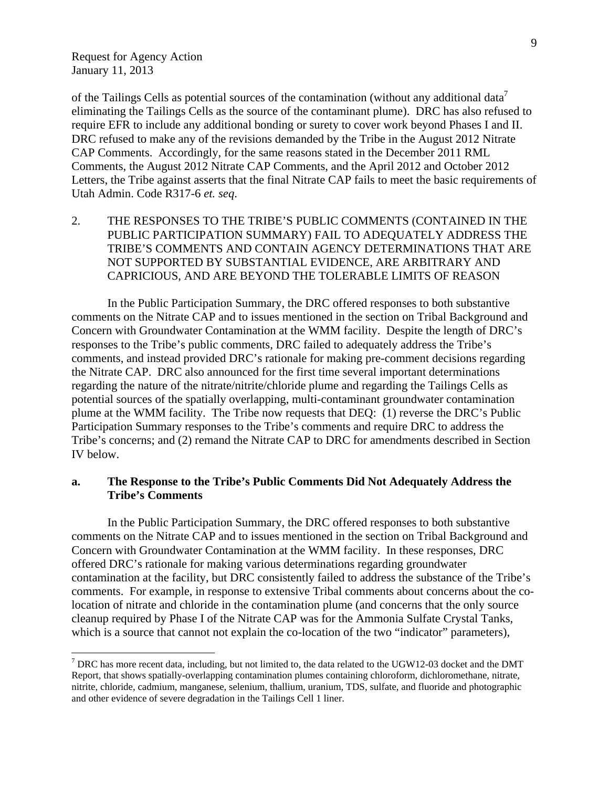1

of the Tailings Cells as potential sources of the contamination (without any additional data<sup>7</sup> eliminating the Tailings Cells as the source of the contaminant plume). DRC has also refused to require EFR to include any additional bonding or surety to cover work beyond Phases I and II. DRC refused to make any of the revisions demanded by the Tribe in the August 2012 Nitrate CAP Comments. Accordingly, for the same reasons stated in the December 2011 RML Comments, the August 2012 Nitrate CAP Comments, and the April 2012 and October 2012 Letters, the Tribe against asserts that the final Nitrate CAP fails to meet the basic requirements of Utah Admin. Code R317-6 *et. seq*.

2. THE RESPONSES TO THE TRIBE'S PUBLIC COMMENTS (CONTAINED IN THE PUBLIC PARTICIPATION SUMMARY) FAIL TO ADEQUATELY ADDRESS THE TRIBE'S COMMENTS AND CONTAIN AGENCY DETERMINATIONS THAT ARE NOT SUPPORTED BY SUBSTANTIAL EVIDENCE, ARE ARBITRARY AND CAPRICIOUS, AND ARE BEYOND THE TOLERABLE LIMITS OF REASON

In the Public Participation Summary, the DRC offered responses to both substantive comments on the Nitrate CAP and to issues mentioned in the section on Tribal Background and Concern with Groundwater Contamination at the WMM facility. Despite the length of DRC's responses to the Tribe's public comments, DRC failed to adequately address the Tribe's comments, and instead provided DRC's rationale for making pre-comment decisions regarding the Nitrate CAP. DRC also announced for the first time several important determinations regarding the nature of the nitrate/nitrite/chloride plume and regarding the Tailings Cells as potential sources of the spatially overlapping, multi-contaminant groundwater contamination plume at the WMM facility. The Tribe now requests that DEQ: (1) reverse the DRC's Public Participation Summary responses to the Tribe's comments and require DRC to address the Tribe's concerns; and (2) remand the Nitrate CAP to DRC for amendments described in Section IV below.

#### **a. The Response to the Tribe's Public Comments Did Not Adequately Address the Tribe's Comments**

 In the Public Participation Summary, the DRC offered responses to both substantive comments on the Nitrate CAP and to issues mentioned in the section on Tribal Background and Concern with Groundwater Contamination at the WMM facility. In these responses, DRC offered DRC's rationale for making various determinations regarding groundwater contamination at the facility, but DRC consistently failed to address the substance of the Tribe's comments. For example, in response to extensive Tribal comments about concerns about the colocation of nitrate and chloride in the contamination plume (and concerns that the only source cleanup required by Phase I of the Nitrate CAP was for the Ammonia Sulfate Crystal Tanks, which is a source that cannot not explain the co-location of the two "indicator" parameters),

 $^7$  DRC has more recent data, including, but not limited to, the data related to the UGW12-03 docket and the DMT Report, that shows spatially-overlapping contamination plumes containing chloroform, dichloromethane, nitrate, nitrite, chloride, cadmium, manganese, selenium, thallium, uranium, TDS, sulfate, and fluoride and photographic and other evidence of severe degradation in the Tailings Cell 1 liner.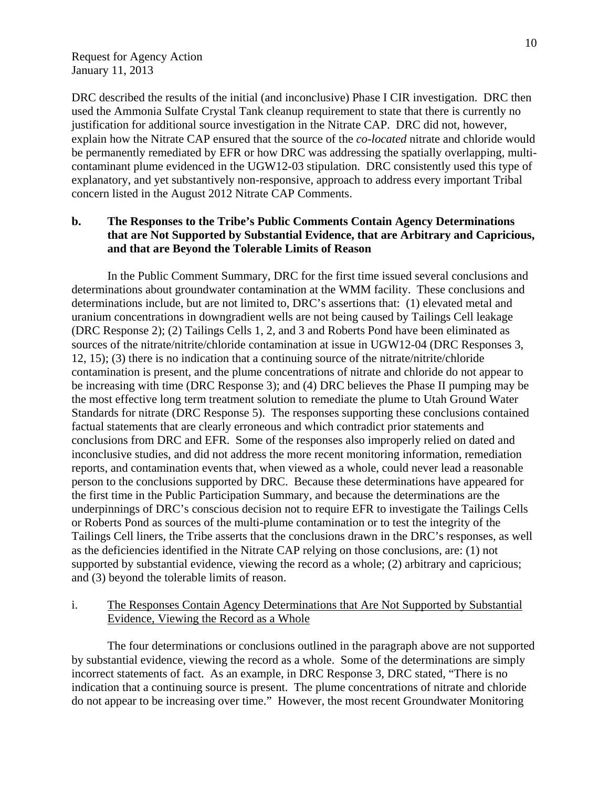DRC described the results of the initial (and inconclusive) Phase I CIR investigation. DRC then used the Ammonia Sulfate Crystal Tank cleanup requirement to state that there is currently no justification for additional source investigation in the Nitrate CAP. DRC did not, however, explain how the Nitrate CAP ensured that the source of the *co-located* nitrate and chloride would be permanently remediated by EFR or how DRC was addressing the spatially overlapping, multicontaminant plume evidenced in the UGW12-03 stipulation. DRC consistently used this type of explanatory, and yet substantively non-responsive, approach to address every important Tribal concern listed in the August 2012 Nitrate CAP Comments.

# **b. The Responses to the Tribe's Public Comments Contain Agency Determinations that are Not Supported by Substantial Evidence, that are Arbitrary and Capricious, and that are Beyond the Tolerable Limits of Reason**

 In the Public Comment Summary, DRC for the first time issued several conclusions and determinations about groundwater contamination at the WMM facility. These conclusions and determinations include, but are not limited to, DRC's assertions that: (1) elevated metal and uranium concentrations in downgradient wells are not being caused by Tailings Cell leakage (DRC Response 2); (2) Tailings Cells 1, 2, and 3 and Roberts Pond have been eliminated as sources of the nitrate/nitrite/chloride contamination at issue in UGW12-04 (DRC Responses 3, 12, 15); (3) there is no indication that a continuing source of the nitrate/nitrite/chloride contamination is present, and the plume concentrations of nitrate and chloride do not appear to be increasing with time (DRC Response 3); and (4) DRC believes the Phase II pumping may be the most effective long term treatment solution to remediate the plume to Utah Ground Water Standards for nitrate (DRC Response 5). The responses supporting these conclusions contained factual statements that are clearly erroneous and which contradict prior statements and conclusions from DRC and EFR. Some of the responses also improperly relied on dated and inconclusive studies, and did not address the more recent monitoring information, remediation reports, and contamination events that, when viewed as a whole, could never lead a reasonable person to the conclusions supported by DRC. Because these determinations have appeared for the first time in the Public Participation Summary, and because the determinations are the underpinnings of DRC's conscious decision not to require EFR to investigate the Tailings Cells or Roberts Pond as sources of the multi-plume contamination or to test the integrity of the Tailings Cell liners, the Tribe asserts that the conclusions drawn in the DRC's responses, as well as the deficiencies identified in the Nitrate CAP relying on those conclusions, are: (1) not supported by substantial evidence, viewing the record as a whole; (2) arbitrary and capricious; and (3) beyond the tolerable limits of reason.

# i. The Responses Contain Agency Determinations that Are Not Supported by Substantial Evidence, Viewing the Record as a Whole

 The four determinations or conclusions outlined in the paragraph above are not supported by substantial evidence, viewing the record as a whole. Some of the determinations are simply incorrect statements of fact. As an example, in DRC Response 3, DRC stated, "There is no indication that a continuing source is present. The plume concentrations of nitrate and chloride do not appear to be increasing over time." However, the most recent Groundwater Monitoring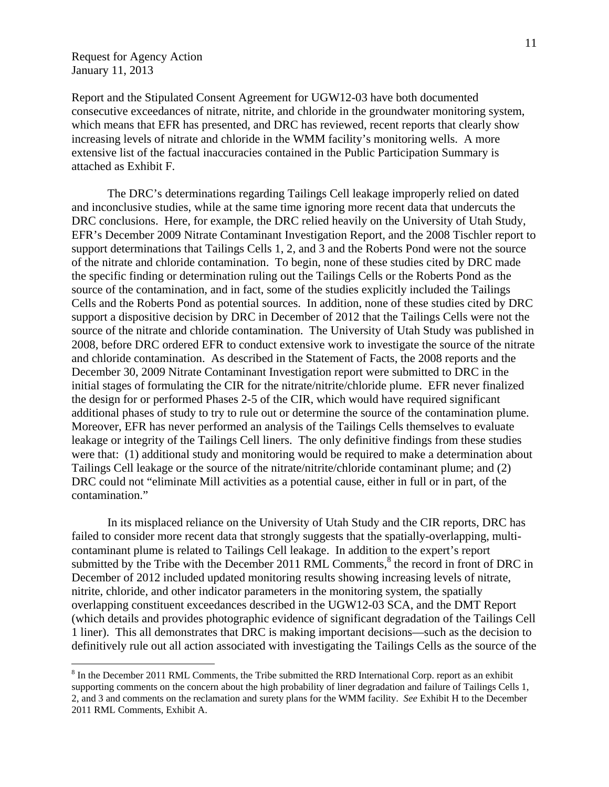$\overline{a}$ 

Report and the Stipulated Consent Agreement for UGW12-03 have both documented consecutive exceedances of nitrate, nitrite, and chloride in the groundwater monitoring system, which means that EFR has presented, and DRC has reviewed, recent reports that clearly show increasing levels of nitrate and chloride in the WMM facility's monitoring wells. A more extensive list of the factual inaccuracies contained in the Public Participation Summary is attached as Exhibit F.

 The DRC's determinations regarding Tailings Cell leakage improperly relied on dated and inconclusive studies, while at the same time ignoring more recent data that undercuts the DRC conclusions. Here, for example, the DRC relied heavily on the University of Utah Study, EFR's December 2009 Nitrate Contaminant Investigation Report, and the 2008 Tischler report to support determinations that Tailings Cells 1, 2, and 3 and the Roberts Pond were not the source of the nitrate and chloride contamination. To begin, none of these studies cited by DRC made the specific finding or determination ruling out the Tailings Cells or the Roberts Pond as the source of the contamination, and in fact, some of the studies explicitly included the Tailings Cells and the Roberts Pond as potential sources. In addition, none of these studies cited by DRC support a dispositive decision by DRC in December of 2012 that the Tailings Cells were not the source of the nitrate and chloride contamination. The University of Utah Study was published in 2008, before DRC ordered EFR to conduct extensive work to investigate the source of the nitrate and chloride contamination. As described in the Statement of Facts, the 2008 reports and the December 30, 2009 Nitrate Contaminant Investigation report were submitted to DRC in the initial stages of formulating the CIR for the nitrate/nitrite/chloride plume. EFR never finalized the design for or performed Phases 2-5 of the CIR, which would have required significant additional phases of study to try to rule out or determine the source of the contamination plume. Moreover, EFR has never performed an analysis of the Tailings Cells themselves to evaluate leakage or integrity of the Tailings Cell liners. The only definitive findings from these studies were that: (1) additional study and monitoring would be required to make a determination about Tailings Cell leakage or the source of the nitrate/nitrite/chloride contaminant plume; and (2) DRC could not "eliminate Mill activities as a potential cause, either in full or in part, of the contamination."

 In its misplaced reliance on the University of Utah Study and the CIR reports, DRC has failed to consider more recent data that strongly suggests that the spatially-overlapping, multicontaminant plume is related to Tailings Cell leakage. In addition to the expert's report submitted by the Tribe with the December 2011 RML Comments, $<sup>8</sup>$  the record in front of DRC in</sup> December of 2012 included updated monitoring results showing increasing levels of nitrate, nitrite, chloride, and other indicator parameters in the monitoring system, the spatially overlapping constituent exceedances described in the UGW12-03 SCA, and the DMT Report (which details and provides photographic evidence of significant degradation of the Tailings Cell 1 liner). This all demonstrates that DRC is making important decisions—such as the decision to definitively rule out all action associated with investigating the Tailings Cells as the source of the

 $8 \text{ In the December 2011 RML Comments, the Tribe submitted the RRD International Corp. report as an exhibit$ supporting comments on the concern about the high probability of liner degradation and failure of Tailings Cells 1, 2, and 3 and comments on the reclamation and surety plans for the WMM facility. *See* Exhibit H to the December 2011 RML Comments, Exhibit A.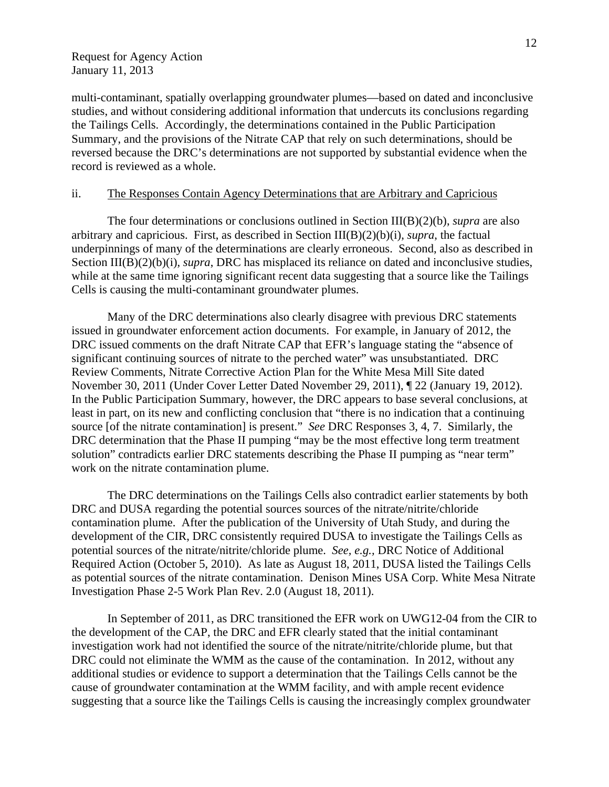multi-contaminant, spatially overlapping groundwater plumes—based on dated and inconclusive studies, and without considering additional information that undercuts its conclusions regarding the Tailings Cells. Accordingly, the determinations contained in the Public Participation Summary, and the provisions of the Nitrate CAP that rely on such determinations, should be reversed because the DRC's determinations are not supported by substantial evidence when the record is reviewed as a whole.

#### ii. The Responses Contain Agency Determinations that are Arbitrary and Capricious

The four determinations or conclusions outlined in Section III(B)(2)(b), *supra* are also arbitrary and capricious. First, as described in Section III(B)(2)(b)(i), *supra*, the factual underpinnings of many of the determinations are clearly erroneous. Second, also as described in Section III(B)(2)(b)(i), *supra*, DRC has misplaced its reliance on dated and inconclusive studies, while at the same time ignoring significant recent data suggesting that a source like the Tailings Cells is causing the multi-contaminant groundwater plumes.

 Many of the DRC determinations also clearly disagree with previous DRC statements issued in groundwater enforcement action documents. For example, in January of 2012, the DRC issued comments on the draft Nitrate CAP that EFR's language stating the "absence of significant continuing sources of nitrate to the perched water" was unsubstantiated. DRC Review Comments, Nitrate Corrective Action Plan for the White Mesa Mill Site dated November 30, 2011 (Under Cover Letter Dated November 29, 2011), ¶ 22 (January 19, 2012). In the Public Participation Summary, however, the DRC appears to base several conclusions, at least in part, on its new and conflicting conclusion that "there is no indication that a continuing source [of the nitrate contamination] is present." *See* DRC Responses 3, 4, 7. Similarly, the DRC determination that the Phase II pumping "may be the most effective long term treatment solution" contradicts earlier DRC statements describing the Phase II pumping as "near term" work on the nitrate contamination plume.

The DRC determinations on the Tailings Cells also contradict earlier statements by both DRC and DUSA regarding the potential sources sources of the nitrate/nitrite/chloride contamination plume. After the publication of the University of Utah Study, and during the development of the CIR, DRC consistently required DUSA to investigate the Tailings Cells as potential sources of the nitrate/nitrite/chloride plume. *See, e.g.,* DRC Notice of Additional Required Action (October 5, 2010). As late as August 18, 2011, DUSA listed the Tailings Cells as potential sources of the nitrate contamination. Denison Mines USA Corp. White Mesa Nitrate Investigation Phase 2-5 Work Plan Rev. 2.0 (August 18, 2011).

 In September of 2011, as DRC transitioned the EFR work on UWG12-04 from the CIR to the development of the CAP, the DRC and EFR clearly stated that the initial contaminant investigation work had not identified the source of the nitrate/nitrite/chloride plume, but that DRC could not eliminate the WMM as the cause of the contamination. In 2012, without any additional studies or evidence to support a determination that the Tailings Cells cannot be the cause of groundwater contamination at the WMM facility, and with ample recent evidence suggesting that a source like the Tailings Cells is causing the increasingly complex groundwater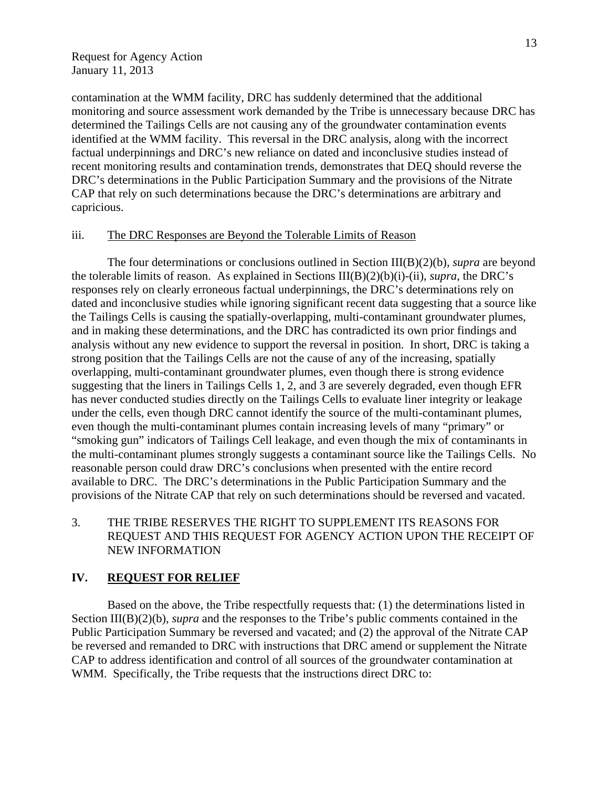contamination at the WMM facility, DRC has suddenly determined that the additional monitoring and source assessment work demanded by the Tribe is unnecessary because DRC has determined the Tailings Cells are not causing any of the groundwater contamination events identified at the WMM facility. This reversal in the DRC analysis, along with the incorrect factual underpinnings and DRC's new reliance on dated and inconclusive studies instead of recent monitoring results and contamination trends, demonstrates that DEQ should reverse the DRC's determinations in the Public Participation Summary and the provisions of the Nitrate CAP that rely on such determinations because the DRC's determinations are arbitrary and capricious.

#### iii. The DRC Responses are Beyond the Tolerable Limits of Reason

The four determinations or conclusions outlined in Section III(B)(2)(b), *supra* are beyond the tolerable limits of reason. As explained in Sections III(B)(2)(b)(i)-(ii), *supra*, the DRC's responses rely on clearly erroneous factual underpinnings, the DRC's determinations rely on dated and inconclusive studies while ignoring significant recent data suggesting that a source like the Tailings Cells is causing the spatially-overlapping, multi-contaminant groundwater plumes, and in making these determinations, and the DRC has contradicted its own prior findings and analysis without any new evidence to support the reversal in position. In short, DRC is taking a strong position that the Tailings Cells are not the cause of any of the increasing, spatially overlapping, multi-contaminant groundwater plumes, even though there is strong evidence suggesting that the liners in Tailings Cells 1, 2, and 3 are severely degraded, even though EFR has never conducted studies directly on the Tailings Cells to evaluate liner integrity or leakage under the cells, even though DRC cannot identify the source of the multi-contaminant plumes, even though the multi-contaminant plumes contain increasing levels of many "primary" or "smoking gun" indicators of Tailings Cell leakage, and even though the mix of contaminants in the multi-contaminant plumes strongly suggests a contaminant source like the Tailings Cells. No reasonable person could draw DRC's conclusions when presented with the entire record available to DRC. The DRC's determinations in the Public Participation Summary and the provisions of the Nitrate CAP that rely on such determinations should be reversed and vacated.

## 3. THE TRIBE RESERVES THE RIGHT TO SUPPLEMENT ITS REASONS FOR REQUEST AND THIS REQUEST FOR AGENCY ACTION UPON THE RECEIPT OF NEW INFORMATION

#### **IV. REQUEST FOR RELIEF**

Based on the above, the Tribe respectfully requests that: (1) the determinations listed in Section III(B)(2)(b), *supra* and the responses to the Tribe's public comments contained in the Public Participation Summary be reversed and vacated; and (2) the approval of the Nitrate CAP be reversed and remanded to DRC with instructions that DRC amend or supplement the Nitrate CAP to address identification and control of all sources of the groundwater contamination at WMM. Specifically, the Tribe requests that the instructions direct DRC to: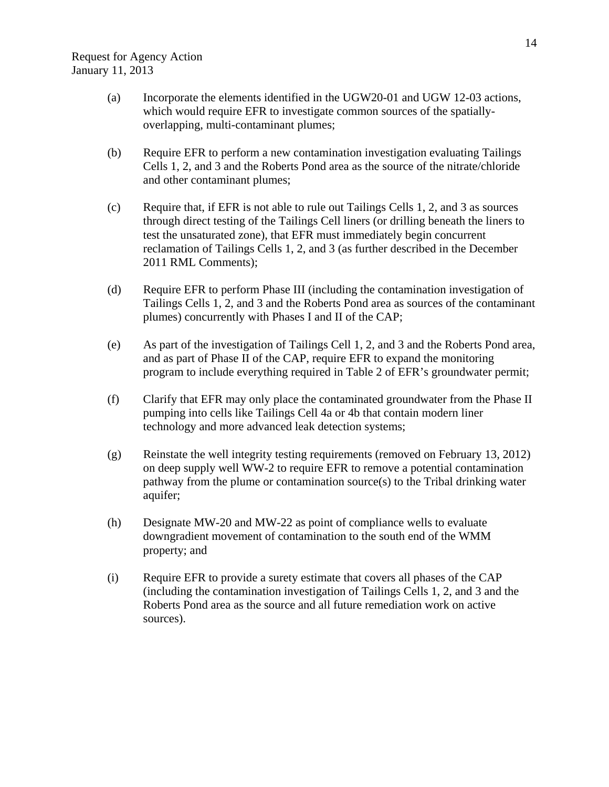- (a) Incorporate the elements identified in the UGW20-01 and UGW 12-03 actions, which would require EFR to investigate common sources of the spatiallyoverlapping, multi-contaminant plumes;
- (b) Require EFR to perform a new contamination investigation evaluating Tailings Cells 1, 2, and 3 and the Roberts Pond area as the source of the nitrate/chloride and other contaminant plumes;
- (c) Require that, if EFR is not able to rule out Tailings Cells 1, 2, and 3 as sources through direct testing of the Tailings Cell liners (or drilling beneath the liners to test the unsaturated zone), that EFR must immediately begin concurrent reclamation of Tailings Cells 1, 2, and 3 (as further described in the December 2011 RML Comments);
- (d) Require EFR to perform Phase III (including the contamination investigation of Tailings Cells 1, 2, and 3 and the Roberts Pond area as sources of the contaminant plumes) concurrently with Phases I and II of the CAP;
- (e) As part of the investigation of Tailings Cell 1, 2, and 3 and the Roberts Pond area, and as part of Phase II of the CAP, require EFR to expand the monitoring program to include everything required in Table 2 of EFR's groundwater permit;
- (f) Clarify that EFR may only place the contaminated groundwater from the Phase II pumping into cells like Tailings Cell 4a or 4b that contain modern liner technology and more advanced leak detection systems;
- (g) Reinstate the well integrity testing requirements (removed on February 13, 2012) on deep supply well WW-2 to require EFR to remove a potential contamination pathway from the plume or contamination source(s) to the Tribal drinking water aquifer;
- (h) Designate MW-20 and MW-22 as point of compliance wells to evaluate downgradient movement of contamination to the south end of the WMM property; and
- (i) Require EFR to provide a surety estimate that covers all phases of the CAP (including the contamination investigation of Tailings Cells 1, 2, and 3 and the Roberts Pond area as the source and all future remediation work on active sources).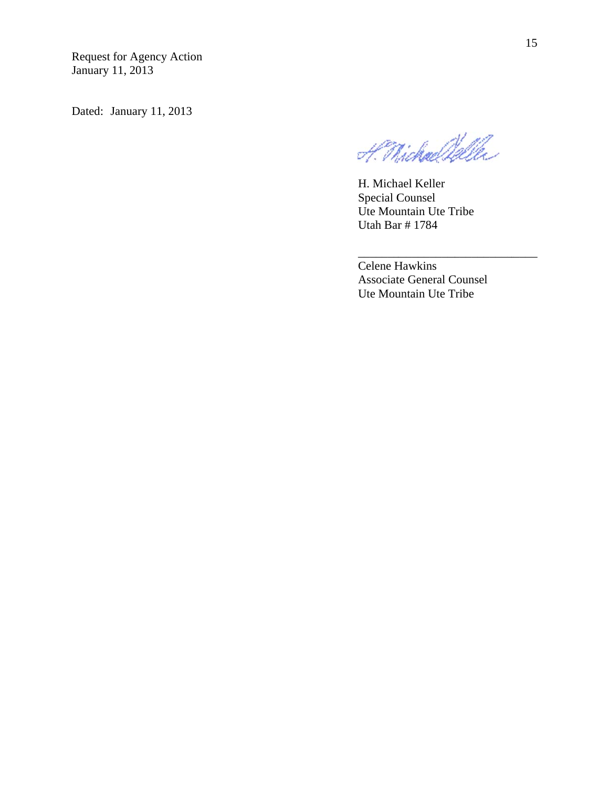Dated: January 11, 2013

H. Michael Dalle

H. Michael Keller Special C Counsel Ute Mountain Ute Tribe Utah Bar # 1784

\_\_\_\_\_\_\_

Celene H Hawkins Associate General Counsel Ute Mountain Ute Tribe

\_\_\_\_\_\_\_\_\_\_\_

\_\_\_\_\_\_\_\_\_\_

 $\overline{\phantom{a}}$